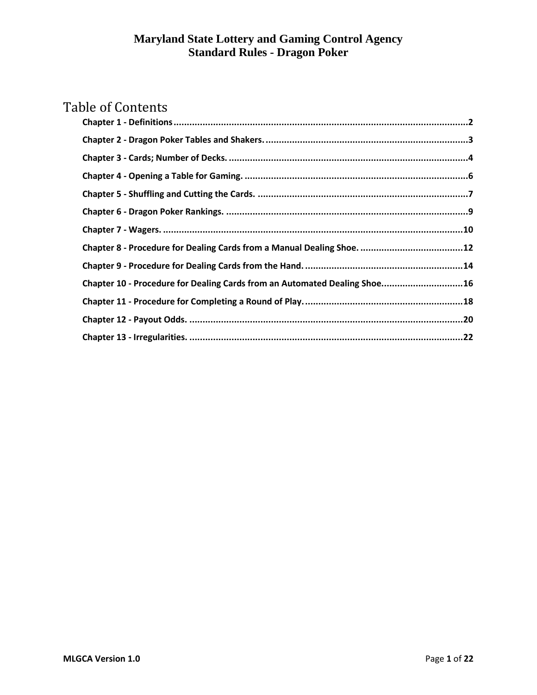# Table of Contents

| Chapter 10 - Procedure for Dealing Cards from an Automated Dealing Shoe16 |  |
|---------------------------------------------------------------------------|--|
|                                                                           |  |
|                                                                           |  |
|                                                                           |  |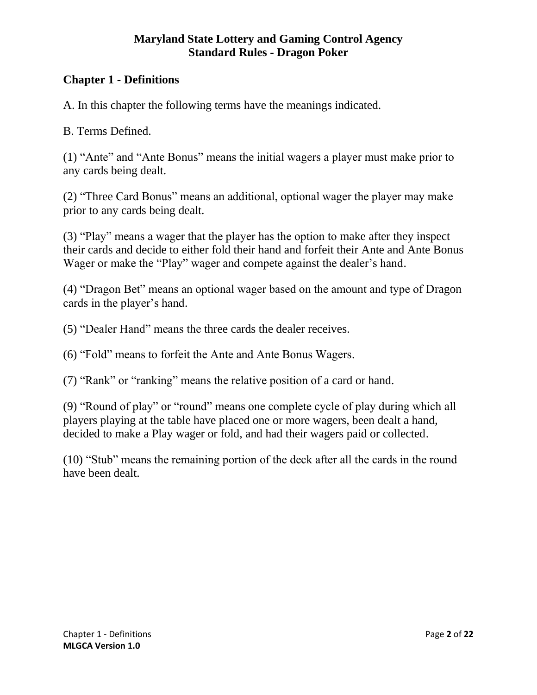## <span id="page-1-0"></span>**Chapter 1 - Definitions**

A. In this chapter the following terms have the meanings indicated.

B. Terms Defined.

(1) "Ante" and "Ante Bonus" means the initial wagers a player must make prior to any cards being dealt.

(2) "Three Card Bonus" means an additional, optional wager the player may make prior to any cards being dealt.

(3) "Play" means a wager that the player has the option to make after they inspect their cards and decide to either fold their hand and forfeit their Ante and Ante Bonus Wager or make the "Play" wager and compete against the dealer's hand.

(4) "Dragon Bet" means an optional wager based on the amount and type of Dragon cards in the player's hand.

(5) "Dealer Hand" means the three cards the dealer receives.

(6) "Fold" means to forfeit the Ante and Ante Bonus Wagers.

(7) "Rank" or "ranking" means the relative position of a card or hand.

(9) "Round of play" or "round" means one complete cycle of play during which all players playing at the table have placed one or more wagers, been dealt a hand, decided to make a Play wager or fold, and had their wagers paid or collected.

(10) "Stub" means the remaining portion of the deck after all the cards in the round have been dealt.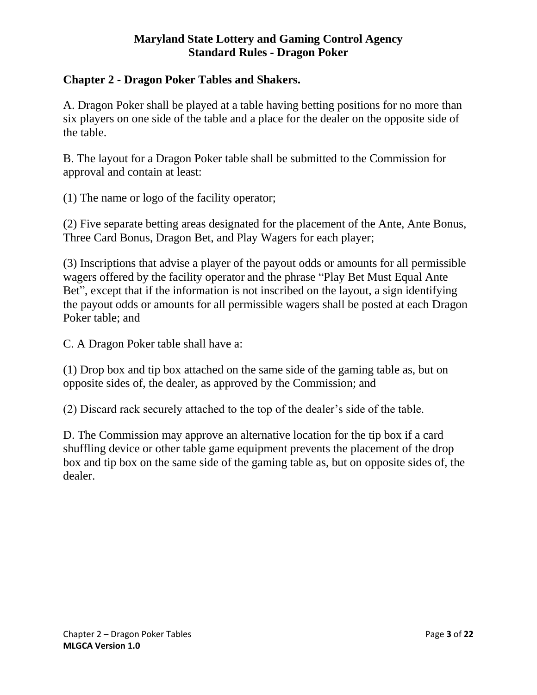#### <span id="page-2-0"></span>**Chapter 2 - Dragon Poker Tables and Shakers.**

A. Dragon Poker shall be played at a table having betting positions for no more than six players on one side of the table and a place for the dealer on the opposite side of the table.

B. The layout for a Dragon Poker table shall be submitted to the Commission for approval and contain at least:

(1) The name or logo of the facility operator;

(2) Five separate betting areas designated for the placement of the Ante, Ante Bonus, Three Card Bonus, Dragon Bet, and Play Wagers for each player;

(3) Inscriptions that advise a player of the payout odds or amounts for all permissible wagers offered by the facility operator and the phrase "Play Bet Must Equal Ante Bet", except that if the information is not inscribed on the layout, a sign identifying the payout odds or amounts for all permissible wagers shall be posted at each Dragon Poker table; and

C. A Dragon Poker table shall have a:

(1) Drop box and tip box attached on the same side of the gaming table as, but on opposite sides of, the dealer, as approved by the Commission; and

(2) Discard rack securely attached to the top of the dealer's side of the table.

D. The Commission may approve an alternative location for the tip box if a card shuffling device or other table game equipment prevents the placement of the drop box and tip box on the same side of the gaming table as, but on opposite sides of, the dealer.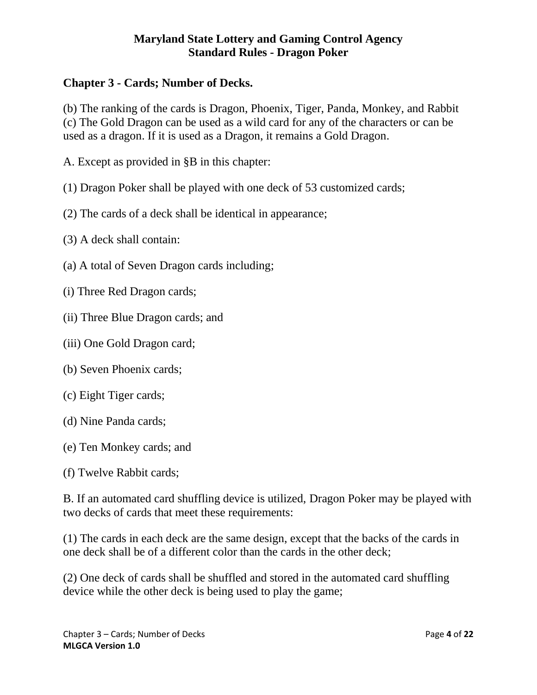## <span id="page-3-0"></span>**Chapter 3 - Cards; Number of Decks.**

(b) The ranking of the cards is Dragon, Phoenix, Tiger, Panda, Monkey, and Rabbit (c) The Gold Dragon can be used as a wild card for any of the characters or can be used as a dragon. If it is used as a Dragon, it remains a Gold Dragon.

A. Except as provided in §B in this chapter:

(1) Dragon Poker shall be played with one deck of 53 customized cards;

(2) The cards of a deck shall be identical in appearance;

(3) A deck shall contain:

- (a) A total of Seven Dragon cards including;
- (i) Three Red Dragon cards;
- (ii) Three Blue Dragon cards; and
- (iii) One Gold Dragon card;
- (b) Seven Phoenix cards;
- (c) Eight Tiger cards;
- (d) Nine Panda cards;
- (e) Ten Monkey cards; and
- (f) Twelve Rabbit cards;

B. If an automated card shuffling device is utilized, Dragon Poker may be played with two decks of cards that meet these requirements:

(1) The cards in each deck are the same design, except that the backs of the cards in one deck shall be of a different color than the cards in the other deck;

(2) One deck of cards shall be shuffled and stored in the automated card shuffling device while the other deck is being used to play the game;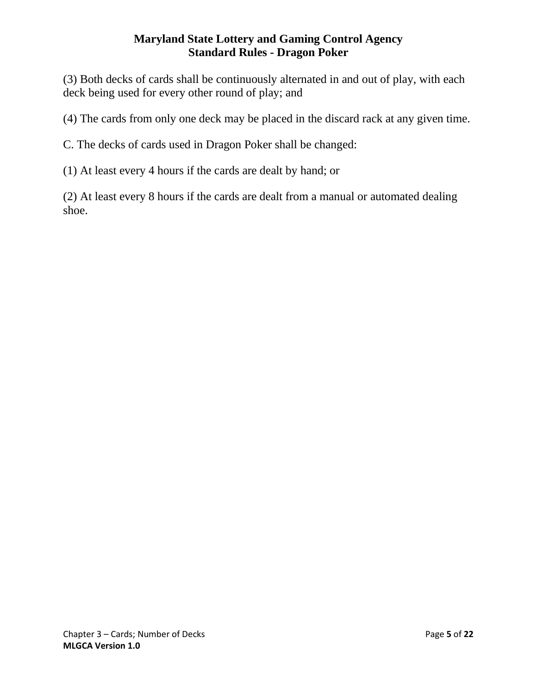(3) Both decks of cards shall be continuously alternated in and out of play, with each deck being used for every other round of play; and

(4) The cards from only one deck may be placed in the discard rack at any given time.

C. The decks of cards used in Dragon Poker shall be changed:

(1) At least every 4 hours if the cards are dealt by hand; or

(2) At least every 8 hours if the cards are dealt from a manual or automated dealing shoe.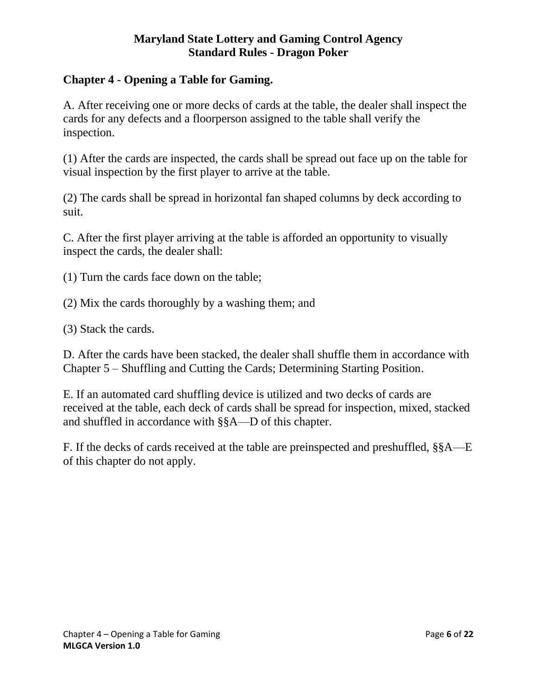## <span id="page-5-0"></span>**Chapter 4 - Opening a Table for Gaming.**

A. After receiving one or more decks of cards at the table, the dealer shall inspect the cards for any defects and a floorperson assigned to the table shall verify the inspection.

(1) After the cards are inspected, the cards shall be spread out face up on the table for visual inspection by the first player to arrive at the table.

(2) The cards shall be spread in horizontal fan shaped columns by deck according to suit.

C. After the first player arriving at the table is afforded an opportunity to visually inspect the cards, the dealer shall:

- (1) Turn the cards face down on the table;
- (2) Mix the cards thoroughly by a washing them; and
- (3) Stack the cards.

D. After the cards have been stacked, the dealer shall shuffle them in accordance with Chapter 5 – Shuffling and Cutting the Cards; Determining Starting Position.

E. If an automated card shuffling device is utilized and two decks of cards are received at the table, each deck of cards shall be spread for inspection, mixed, stacked and shuffled in accordance with §§A—D of this chapter.

F. If the decks of cards received at the table are preinspected and preshuffled, §§A—E of this chapter do not apply.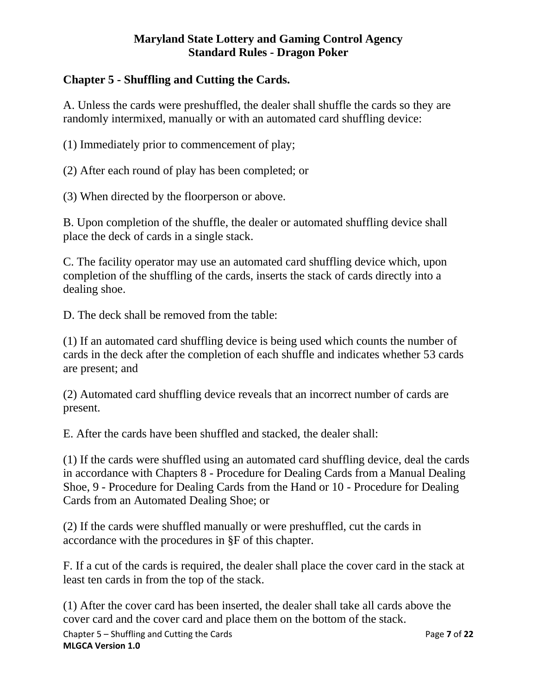## <span id="page-6-0"></span>**Chapter 5 - Shuffling and Cutting the Cards.**

A. Unless the cards were preshuffled, the dealer shall shuffle the cards so they are randomly intermixed, manually or with an automated card shuffling device:

(1) Immediately prior to commencement of play;

(2) After each round of play has been completed; or

(3) When directed by the floorperson or above.

B. Upon completion of the shuffle, the dealer or automated shuffling device shall place the deck of cards in a single stack.

C. The facility operator may use an automated card shuffling device which, upon completion of the shuffling of the cards, inserts the stack of cards directly into a dealing shoe.

D. The deck shall be removed from the table:

(1) If an automated card shuffling device is being used which counts the number of cards in the deck after the completion of each shuffle and indicates whether 53 cards are present; and

(2) Automated card shuffling device reveals that an incorrect number of cards are present.

E. After the cards have been shuffled and stacked, the dealer shall:

(1) If the cards were shuffled using an automated card shuffling device, deal the cards in accordance with Chapters 8 - Procedure for Dealing Cards from a Manual Dealing Shoe, 9 - Procedure for Dealing Cards from the Hand or 10 - Procedure for Dealing Cards from an Automated Dealing Shoe; or

(2) If the cards were shuffled manually or were preshuffled, cut the cards in accordance with the procedures in §F of this chapter.

F. If a cut of the cards is required, the dealer shall place the cover card in the stack at least ten cards in from the top of the stack.

Chapter 5 – Shuffling and Cutting the Cards Page **7** of **22 MLGCA Version 1.0** (1) After the cover card has been inserted, the dealer shall take all cards above the cover card and the cover card and place them on the bottom of the stack.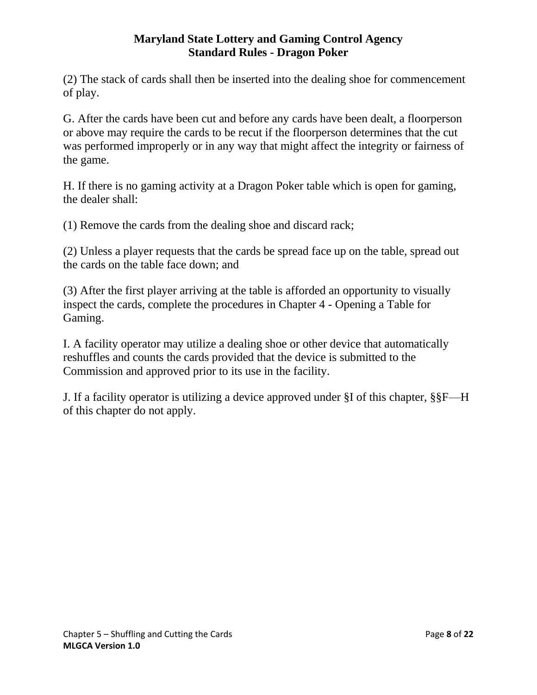(2) The stack of cards shall then be inserted into the dealing shoe for commencement of play.

G. After the cards have been cut and before any cards have been dealt, a floorperson or above may require the cards to be recut if the floorperson determines that the cut was performed improperly or in any way that might affect the integrity or fairness of the game.

H. If there is no gaming activity at a Dragon Poker table which is open for gaming, the dealer shall:

(1) Remove the cards from the dealing shoe and discard rack;

(2) Unless a player requests that the cards be spread face up on the table, spread out the cards on the table face down; and

(3) After the first player arriving at the table is afforded an opportunity to visually inspect the cards, complete the procedures in Chapter 4 - Opening a Table for Gaming.

I. A facility operator may utilize a dealing shoe or other device that automatically reshuffles and counts the cards provided that the device is submitted to the Commission and approved prior to its use in the facility.

J. If a facility operator is utilizing a device approved under §I of this chapter, §§F—H of this chapter do not apply.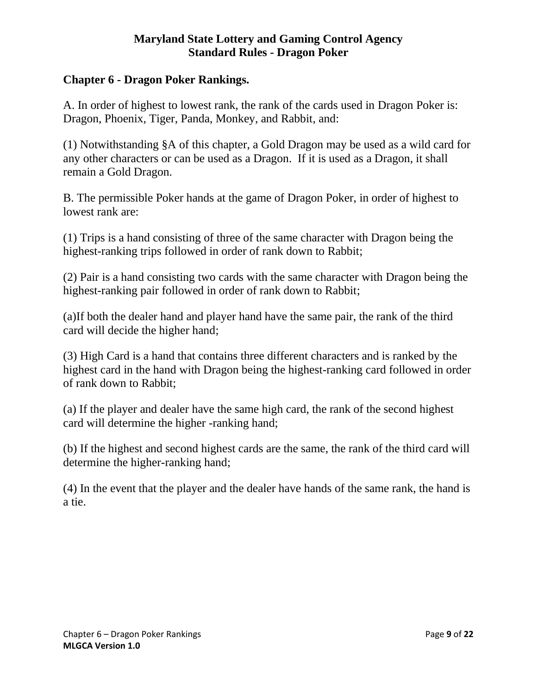#### <span id="page-8-0"></span>**Chapter 6 - Dragon Poker Rankings.**

A. In order of highest to lowest rank, the rank of the cards used in Dragon Poker is: Dragon, Phoenix, Tiger, Panda, Monkey, and Rabbit, and:

(1) Notwithstanding §A of this chapter, a Gold Dragon may be used as a wild card for any other characters or can be used as a Dragon. If it is used as a Dragon, it shall remain a Gold Dragon.

B. The permissible Poker hands at the game of Dragon Poker, in order of highest to lowest rank are:

(1) Trips is a hand consisting of three of the same character with Dragon being the highest-ranking trips followed in order of rank down to Rabbit;

(2) Pair is a hand consisting two cards with the same character with Dragon being the highest-ranking pair followed in order of rank down to Rabbit;

(a)If both the dealer hand and player hand have the same pair, the rank of the third card will decide the higher hand;

(3) High Card is a hand that contains three different characters and is ranked by the highest card in the hand with Dragon being the highest-ranking card followed in order of rank down to Rabbit;

(a) If the player and dealer have the same high card, the rank of the second highest card will determine the higher -ranking hand;

(b) If the highest and second highest cards are the same, the rank of the third card will determine the higher-ranking hand;

(4) In the event that the player and the dealer have hands of the same rank, the hand is a tie.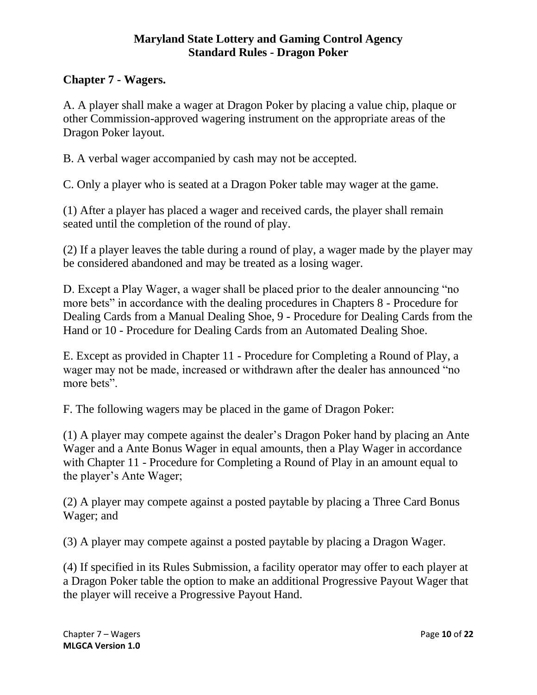## <span id="page-9-0"></span>**Chapter 7 - Wagers.**

A. A player shall make a wager at Dragon Poker by placing a value chip, plaque or other Commission-approved wagering instrument on the appropriate areas of the Dragon Poker layout.

B. A verbal wager accompanied by cash may not be accepted.

C. Only a player who is seated at a Dragon Poker table may wager at the game.

(1) After a player has placed a wager and received cards, the player shall remain seated until the completion of the round of play.

(2) If a player leaves the table during a round of play, a wager made by the player may be considered abandoned and may be treated as a losing wager.

D. Except a Play Wager, a wager shall be placed prior to the dealer announcing "no more bets" in accordance with the dealing procedures in Chapters 8 - Procedure for Dealing Cards from a Manual Dealing Shoe, 9 - Procedure for Dealing Cards from the Hand or 10 - Procedure for Dealing Cards from an Automated Dealing Shoe.

E. Except as provided in Chapter 11 - Procedure for Completing a Round of Play, a wager may not be made, increased or withdrawn after the dealer has announced "no more bets".

F. The following wagers may be placed in the game of Dragon Poker:

(1) A player may compete against the dealer's Dragon Poker hand by placing an Ante Wager and a Ante Bonus Wager in equal amounts, then a Play Wager in accordance with Chapter 11 - Procedure for Completing a Round of Play in an amount equal to the player's Ante Wager;

(2) A player may compete against a posted paytable by placing a Three Card Bonus Wager; and

(3) A player may compete against a posted paytable by placing a Dragon Wager.

(4) If specified in its Rules Submission, a facility operator may offer to each player at a Dragon Poker table the option to make an additional Progressive Payout Wager that the player will receive a Progressive Payout Hand.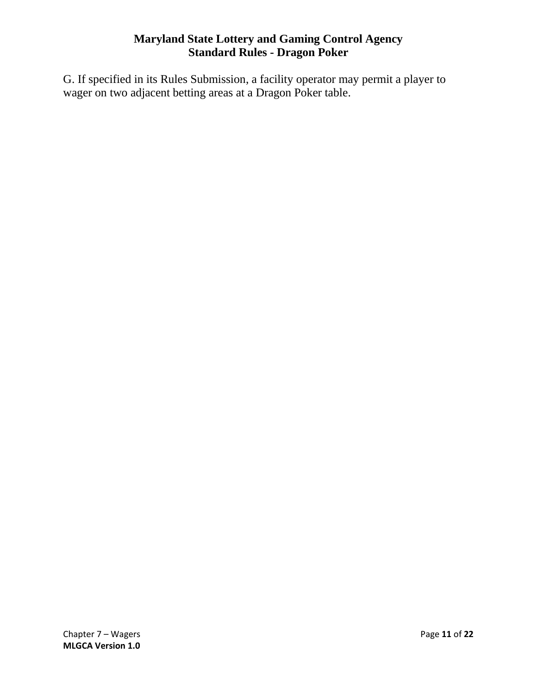G. If specified in its Rules Submission, a facility operator may permit a player to wager on two adjacent betting areas at a Dragon Poker table.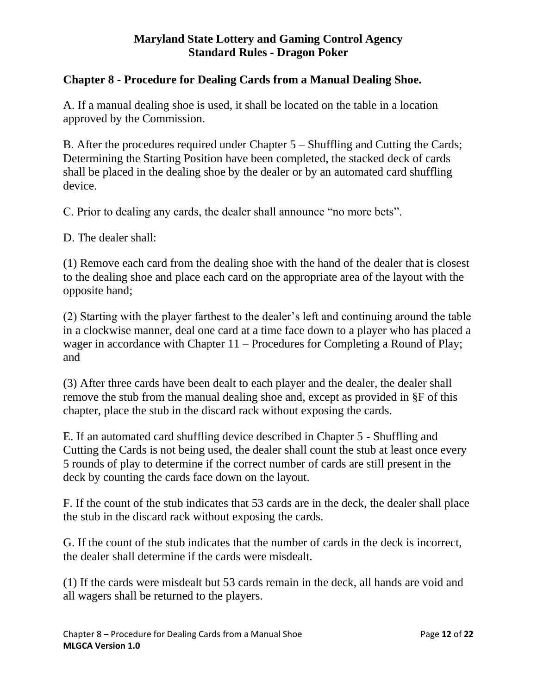## <span id="page-11-0"></span>**Chapter 8 - Procedure for Dealing Cards from a Manual Dealing Shoe.**

A. If a manual dealing shoe is used, it shall be located on the table in a location approved by the Commission.

B. After the procedures required under Chapter 5 – Shuffling and Cutting the Cards; Determining the Starting Position have been completed, the stacked deck of cards shall be placed in the dealing shoe by the dealer or by an automated card shuffling device.

C. Prior to dealing any cards, the dealer shall announce "no more bets".

D. The dealer shall:

(1) Remove each card from the dealing shoe with the hand of the dealer that is closest to the dealing shoe and place each card on the appropriate area of the layout with the opposite hand;

(2) Starting with the player farthest to the dealer's left and continuing around the table in a clockwise manner, deal one card at a time face down to a player who has placed a wager in accordance with Chapter 11 – Procedures for Completing a Round of Play; and

(3) After three cards have been dealt to each player and the dealer, the dealer shall remove the stub from the manual dealing shoe and, except as provided in §F of this chapter, place the stub in the discard rack without exposing the cards.

E. If an automated card shuffling device described in Chapter 5 - Shuffling and Cutting the Cards is not being used, the dealer shall count the stub at least once every 5 rounds of play to determine if the correct number of cards are still present in the deck by counting the cards face down on the layout.

F. If the count of the stub indicates that 53 cards are in the deck, the dealer shall place the stub in the discard rack without exposing the cards.

G. If the count of the stub indicates that the number of cards in the deck is incorrect, the dealer shall determine if the cards were misdealt.

(1) If the cards were misdealt but 53 cards remain in the deck, all hands are void and all wagers shall be returned to the players.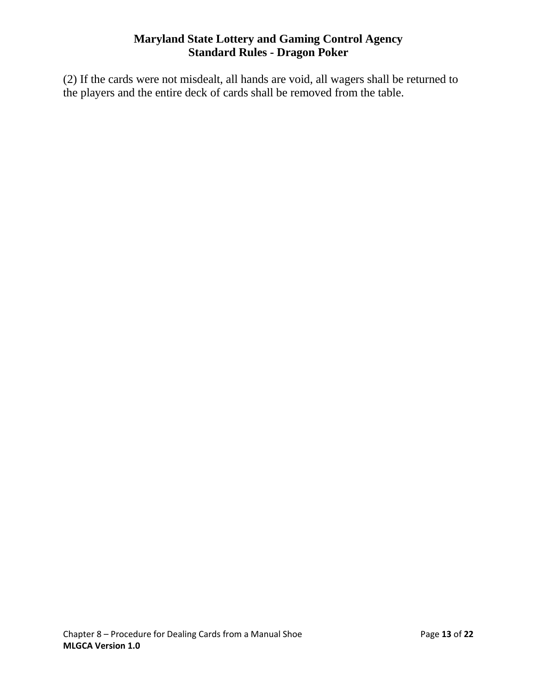(2) If the cards were not misdealt, all hands are void, all wagers shall be returned to the players and the entire deck of cards shall be removed from the table.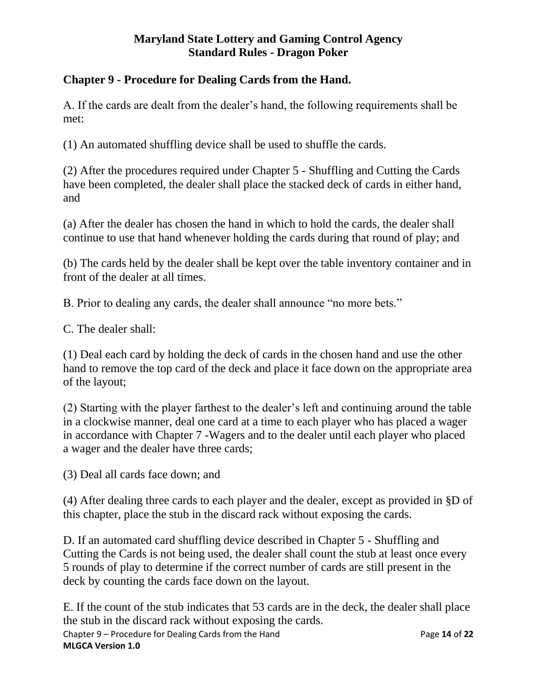## <span id="page-13-0"></span>**Chapter 9 - Procedure for Dealing Cards from the Hand.**

A. If the cards are dealt from the dealer's hand, the following requirements shall be met:

(1) An automated shuffling device shall be used to shuffle the cards.

(2) After the procedures required under Chapter 5 - Shuffling and Cutting the Cards have been completed, the dealer shall place the stacked deck of cards in either hand, and

(a) After the dealer has chosen the hand in which to hold the cards, the dealer shall continue to use that hand whenever holding the cards during that round of play; and

(b) The cards held by the dealer shall be kept over the table inventory container and in front of the dealer at all times.

B. Prior to dealing any cards, the dealer shall announce "no more bets."

C. The dealer shall:

(1) Deal each card by holding the deck of cards in the chosen hand and use the other hand to remove the top card of the deck and place it face down on the appropriate area of the layout;

(2) Starting with the player farthest to the dealer's left and continuing around the table in a clockwise manner, deal one card at a time to each player who has placed a wager in accordance with Chapter 7 -Wagers and to the dealer until each player who placed a wager and the dealer have three cards;

(3) Deal all cards face down; and

(4) After dealing three cards to each player and the dealer, except as provided in §D of this chapter, place the stub in the discard rack without exposing the cards.

D. If an automated card shuffling device described in Chapter 5 - Shuffling and Cutting the Cards is not being used, the dealer shall count the stub at least once every 5 rounds of play to determine if the correct number of cards are still present in the deck by counting the cards face down on the layout.

Chapter 9 – Procedure for Dealing Cards from the Hand Page **14** of **22 MLGCA Version 1.0** E. If the count of the stub indicates that 53 cards are in the deck, the dealer shall place the stub in the discard rack without exposing the cards.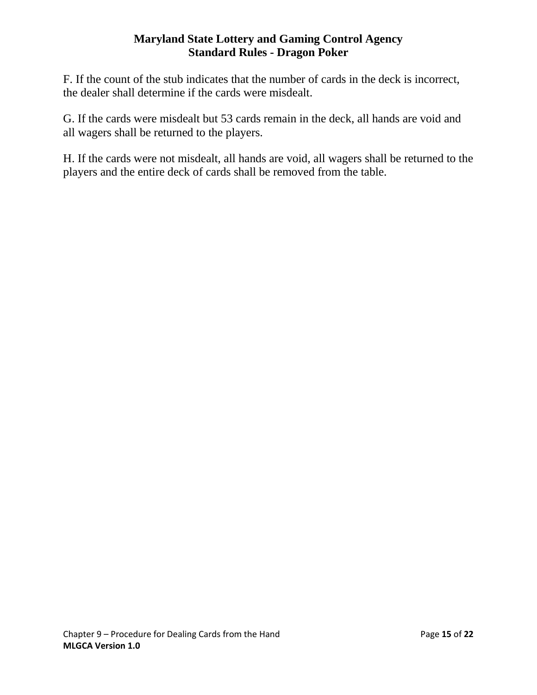F. If the count of the stub indicates that the number of cards in the deck is incorrect, the dealer shall determine if the cards were misdealt.

G. If the cards were misdealt but 53 cards remain in the deck, all hands are void and all wagers shall be returned to the players.

H. If the cards were not misdealt, all hands are void, all wagers shall be returned to the players and the entire deck of cards shall be removed from the table.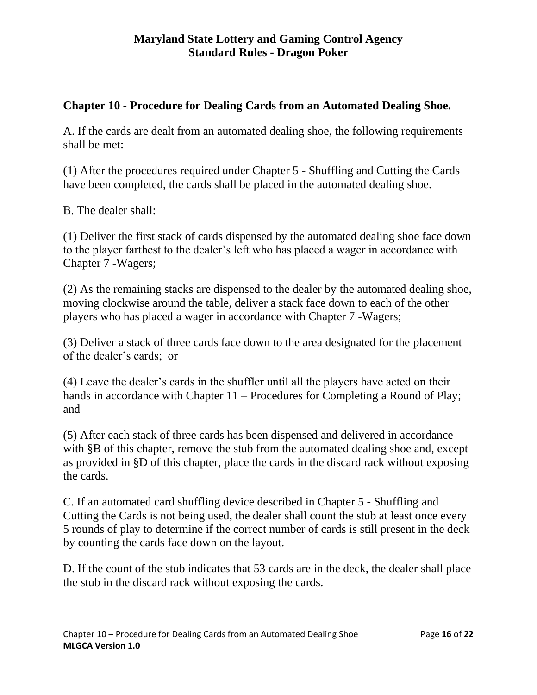## <span id="page-15-0"></span>**Chapter 10 - Procedure for Dealing Cards from an Automated Dealing Shoe.**

A. If the cards are dealt from an automated dealing shoe, the following requirements shall be met:

(1) After the procedures required under Chapter 5 - Shuffling and Cutting the Cards have been completed, the cards shall be placed in the automated dealing shoe.

B. The dealer shall:

(1) Deliver the first stack of cards dispensed by the automated dealing shoe face down to the player farthest to the dealer's left who has placed a wager in accordance with Chapter 7 -Wagers;

(2) As the remaining stacks are dispensed to the dealer by the automated dealing shoe, moving clockwise around the table, deliver a stack face down to each of the other players who has placed a wager in accordance with Chapter 7 -Wagers;

(3) Deliver a stack of three cards face down to the area designated for the placement of the dealer's cards; or

(4) Leave the dealer's cards in the shuffler until all the players have acted on their hands in accordance with Chapter 11 – Procedures for Completing a Round of Play; and

(5) After each stack of three cards has been dispensed and delivered in accordance with §B of this chapter, remove the stub from the automated dealing shoe and, except as provided in §D of this chapter, place the cards in the discard rack without exposing the cards.

C. If an automated card shuffling device described in Chapter 5 - Shuffling and Cutting the Cards is not being used, the dealer shall count the stub at least once every 5 rounds of play to determine if the correct number of cards is still present in the deck by counting the cards face down on the layout.

D. If the count of the stub indicates that 53 cards are in the deck, the dealer shall place the stub in the discard rack without exposing the cards.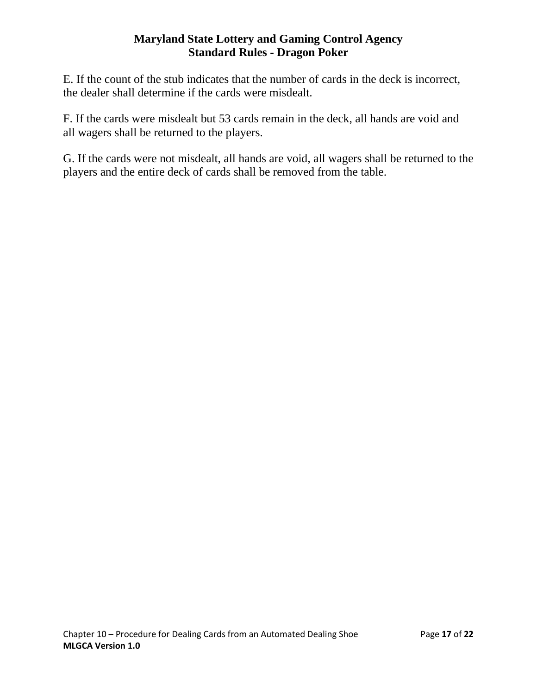E. If the count of the stub indicates that the number of cards in the deck is incorrect, the dealer shall determine if the cards were misdealt.

F. If the cards were misdealt but 53 cards remain in the deck, all hands are void and all wagers shall be returned to the players.

G. If the cards were not misdealt, all hands are void, all wagers shall be returned to the players and the entire deck of cards shall be removed from the table.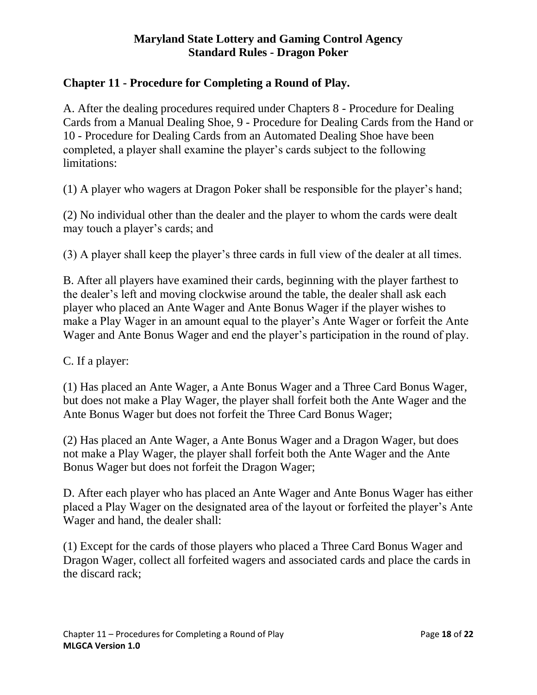## <span id="page-17-0"></span>**Chapter 11 - Procedure for Completing a Round of Play.**

A. After the dealing procedures required under Chapters 8 - Procedure for Dealing Cards from a Manual Dealing Shoe, 9 - Procedure for Dealing Cards from the Hand or 10 - Procedure for Dealing Cards from an Automated Dealing Shoe have been completed, a player shall examine the player's cards subject to the following limitations:

(1) A player who wagers at Dragon Poker shall be responsible for the player's hand;

(2) No individual other than the dealer and the player to whom the cards were dealt may touch a player's cards; and

(3) A player shall keep the player's three cards in full view of the dealer at all times.

B. After all players have examined their cards, beginning with the player farthest to the dealer's left and moving clockwise around the table, the dealer shall ask each player who placed an Ante Wager and Ante Bonus Wager if the player wishes to make a Play Wager in an amount equal to the player's Ante Wager or forfeit the Ante Wager and Ante Bonus Wager and end the player's participation in the round of play.

C. If a player:

(1) Has placed an Ante Wager, a Ante Bonus Wager and a Three Card Bonus Wager, but does not make a Play Wager, the player shall forfeit both the Ante Wager and the Ante Bonus Wager but does not forfeit the Three Card Bonus Wager;

(2) Has placed an Ante Wager, a Ante Bonus Wager and a Dragon Wager, but does not make a Play Wager, the player shall forfeit both the Ante Wager and the Ante Bonus Wager but does not forfeit the Dragon Wager;

D. After each player who has placed an Ante Wager and Ante Bonus Wager has either placed a Play Wager on the designated area of the layout or forfeited the player's Ante Wager and hand, the dealer shall:

(1) Except for the cards of those players who placed a Three Card Bonus Wager and Dragon Wager, collect all forfeited wagers and associated cards and place the cards in the discard rack;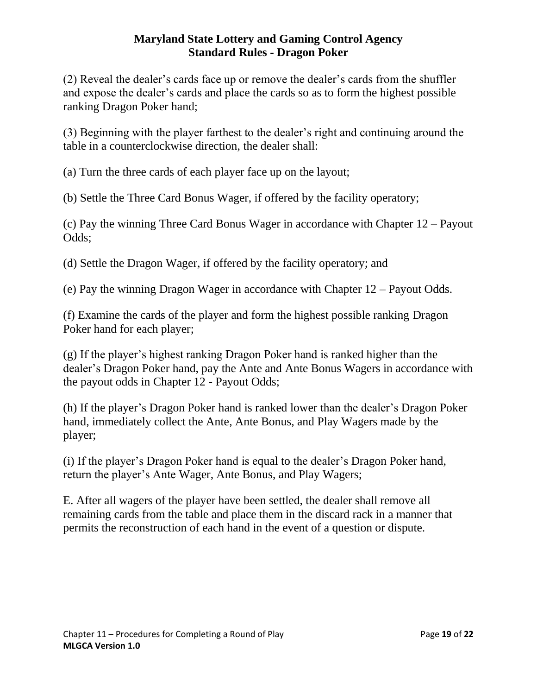(2) Reveal the dealer's cards face up or remove the dealer's cards from the shuffler and expose the dealer's cards and place the cards so as to form the highest possible ranking Dragon Poker hand;

(3) Beginning with the player farthest to the dealer's right and continuing around the table in a counterclockwise direction, the dealer shall:

(a) Turn the three cards of each player face up on the layout;

(b) Settle the Three Card Bonus Wager, if offered by the facility operatory;

(c) Pay the winning Three Card Bonus Wager in accordance with Chapter 12 – Payout Odds;

(d) Settle the Dragon Wager, if offered by the facility operatory; and

(e) Pay the winning Dragon Wager in accordance with Chapter 12 – Payout Odds.

(f) Examine the cards of the player and form the highest possible ranking Dragon Poker hand for each player;

(g) If the player's highest ranking Dragon Poker hand is ranked higher than the dealer's Dragon Poker hand, pay the Ante and Ante Bonus Wagers in accordance with the payout odds in Chapter 12 - Payout Odds;

(h) If the player's Dragon Poker hand is ranked lower than the dealer's Dragon Poker hand, immediately collect the Ante, Ante Bonus, and Play Wagers made by the player;

(i) If the player's Dragon Poker hand is equal to the dealer's Dragon Poker hand, return the player's Ante Wager, Ante Bonus, and Play Wagers;

E. After all wagers of the player have been settled, the dealer shall remove all remaining cards from the table and place them in the discard rack in a manner that permits the reconstruction of each hand in the event of a question or dispute.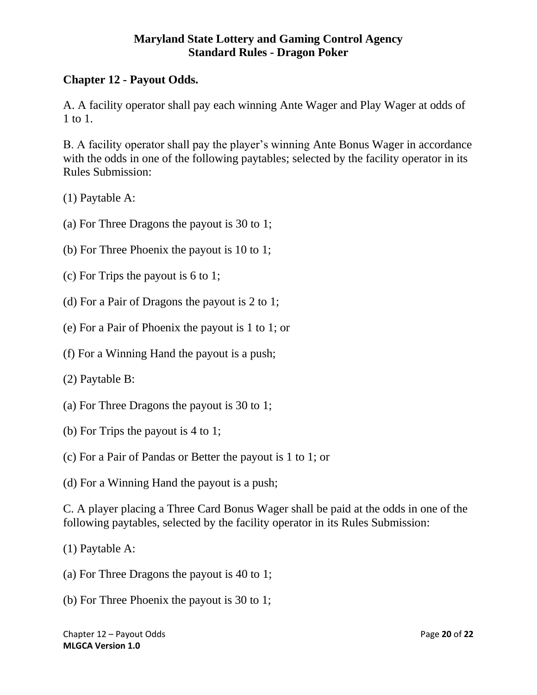## <span id="page-19-0"></span>**Chapter 12 - Payout Odds.**

A. A facility operator shall pay each winning Ante Wager and Play Wager at odds of 1 to 1.

B. A facility operator shall pay the player's winning Ante Bonus Wager in accordance with the odds in one of the following paytables; selected by the facility operator in its Rules Submission:

(1) Paytable A:

- (a) For Three Dragons the payout is 30 to 1;
- (b) For Three Phoenix the payout is 10 to 1;
- (c) For Trips the payout is 6 to 1;
- (d) For a Pair of Dragons the payout is 2 to 1;
- (e) For a Pair of Phoenix the payout is 1 to 1; or
- (f) For a Winning Hand the payout is a push;

(2) Paytable B:

- (a) For Three Dragons the payout is 30 to 1;
- (b) For Trips the payout is 4 to 1;
- (c) For a Pair of Pandas or Better the payout is 1 to 1; or
- (d) For a Winning Hand the payout is a push;

C. A player placing a Three Card Bonus Wager shall be paid at the odds in one of the following paytables, selected by the facility operator in its Rules Submission:

(1) Paytable A:

- (a) For Three Dragons the payout is 40 to 1;
- (b) For Three Phoenix the payout is 30 to 1;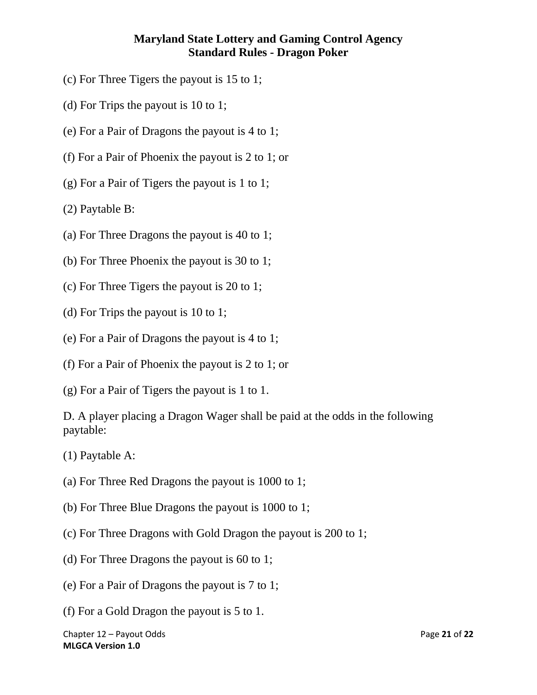- (c) For Three Tigers the payout is 15 to 1;
- (d) For Trips the payout is 10 to 1;
- (e) For a Pair of Dragons the payout is 4 to 1;
- (f) For a Pair of Phoenix the payout is 2 to 1; or
- (g) For a Pair of Tigers the payout is 1 to 1;

(2) Paytable B:

- (a) For Three Dragons the payout is 40 to 1;
- (b) For Three Phoenix the payout is 30 to 1;
- (c) For Three Tigers the payout is 20 to 1;
- (d) For Trips the payout is 10 to 1;
- (e) For a Pair of Dragons the payout is 4 to 1;
- (f) For a Pair of Phoenix the payout is 2 to 1; or
- (g) For a Pair of Tigers the payout is 1 to 1.

D. A player placing a Dragon Wager shall be paid at the odds in the following paytable:

- (1) Paytable A:
- (a) For Three Red Dragons the payout is 1000 to 1;
- (b) For Three Blue Dragons the payout is 1000 to 1;
- (c) For Three Dragons with Gold Dragon the payout is 200 to 1;
- (d) For Three Dragons the payout is 60 to 1;
- (e) For a Pair of Dragons the payout is 7 to 1;
- (f) For a Gold Dragon the payout is 5 to 1.